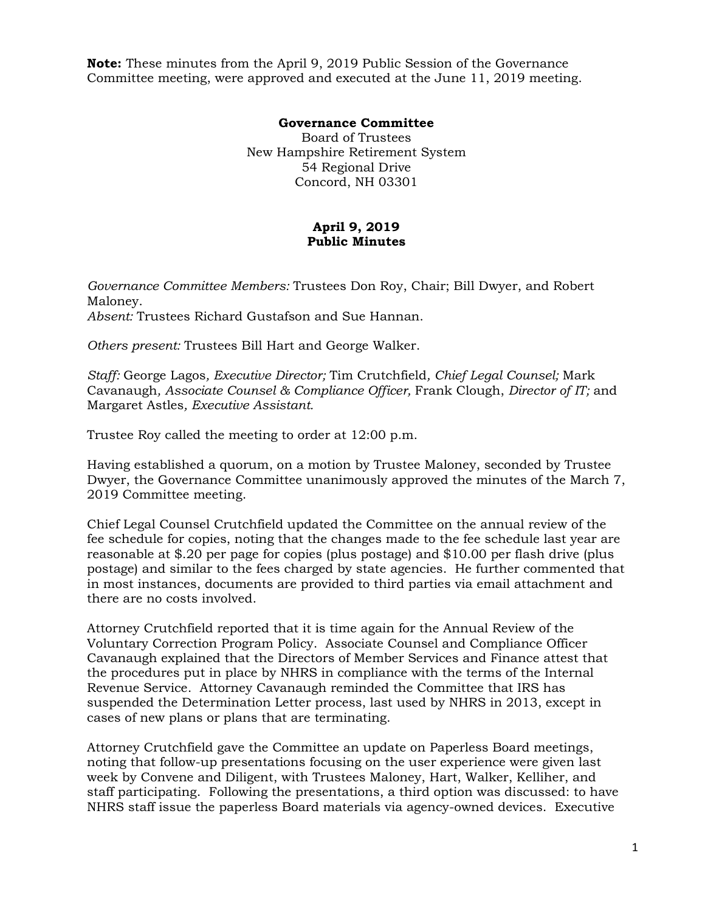**Note:** These minutes from the April 9, 2019 Public Session of the Governance Committee meeting, were approved and executed at the June 11, 2019 meeting.

## **Governance Committee**

Board of Trustees New Hampshire Retirement System 54 Regional Drive Concord, NH 03301

## **April 9, 2019 Public Minutes**

*Governance Committee Members:* Trustees Don Roy, Chair; Bill Dwyer, and Robert Maloney. *Absent:* Trustees Richard Gustafson and Sue Hannan.

*Others present:* Trustees Bill Hart and George Walker.

*Staff:* George Lagos*, Executive Director;* Tim Crutchfield*, Chief Legal Counsel;* Mark Cavanaugh*, Associate Counsel & Compliance Officer,* Frank Clough, *Director of IT;* and Margaret Astles*, Executive Assistant.* 

Trustee Roy called the meeting to order at 12:00 p.m.

Having established a quorum, on a motion by Trustee Maloney, seconded by Trustee Dwyer, the Governance Committee unanimously approved the minutes of the March 7, 2019 Committee meeting.

Chief Legal Counsel Crutchfield updated the Committee on the annual review of the fee schedule for copies, noting that the changes made to the fee schedule last year are reasonable at \$.20 per page for copies (plus postage) and \$10.00 per flash drive (plus postage) and similar to the fees charged by state agencies. He further commented that in most instances, documents are provided to third parties via email attachment and there are no costs involved.

Attorney Crutchfield reported that it is time again for the Annual Review of the Voluntary Correction Program Policy. Associate Counsel and Compliance Officer Cavanaugh explained that the Directors of Member Services and Finance attest that the procedures put in place by NHRS in compliance with the terms of the Internal Revenue Service. Attorney Cavanaugh reminded the Committee that IRS has suspended the Determination Letter process, last used by NHRS in 2013, except in cases of new plans or plans that are terminating.

Attorney Crutchfield gave the Committee an update on Paperless Board meetings, noting that follow-up presentations focusing on the user experience were given last week by Convene and Diligent, with Trustees Maloney, Hart, Walker, Kelliher, and staff participating. Following the presentations, a third option was discussed: to have NHRS staff issue the paperless Board materials via agency-owned devices. Executive